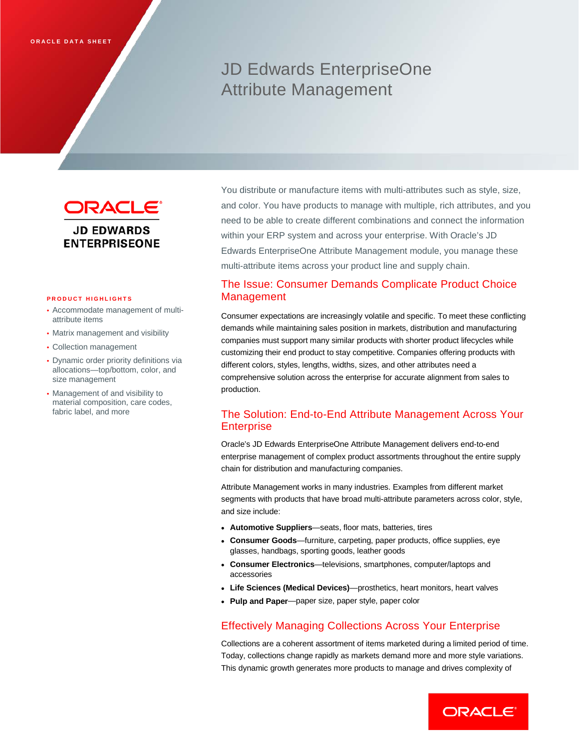# JD Edwards EnterpriseOne Attribute Management



#### **PRODUCT HIGHLIGHTS**

- Accommodate management of multiattribute items
- Matrix management and visibility
- Collection management
- Dynamic order priority definitions via allocations—top/bottom, color, and size management
- Management of and visibility to material composition, care codes, fabric label, and more

You distribute or manufacture items with multi-attributes such as style, size, and color. You have products to manage with multiple, rich attributes, and you need to be able to create different combinations and connect the information within your ERP system and across your enterprise. With Oracle's JD Edwards EnterpriseOne Attribute Management module, you manage these multi-attribute items across your product line and supply chain.

### The Issue: Consumer Demands Complicate Product Choice Management

Consumer expectations are increasingly volatile and specific. To meet these conflicting demands while maintaining sales position in markets, distribution and manufacturing companies must support many similar products with shorter product lifecycles while customizing their end product to stay competitive. Companies offering products with different colors, styles, lengths, widths, sizes, and other attributes need a comprehensive solution across the enterprise for accurate alignment from sales to production.

# The Solution: End-to-End Attribute Management Across Your **Enterprise**

Oracle's JD Edwards EnterpriseOne Attribute Management delivers end-to-end enterprise management of complex product assortments throughout the entire supply chain for distribution and manufacturing companies.

Attribute Management works in many industries. Examples from different market segments with products that have broad multi-attribute parameters across color, style, and size include:

- **Automotive Suppliers**—seats, floor mats, batteries, tires
- **Consumer Goods**—furniture, carpeting, paper products, office supplies, eye glasses, handbags, sporting goods, leather goods
- **Consumer Electronics**—televisions, smartphones, computer/laptops and accessories
- **Life Sciences (Medical Devices)**—prosthetics, heart monitors, heart valves
- **Pulp and Paper**—paper size, paper style, paper color

#### Effectively Managing Collections Across Your Enterprise

Collections are a coherent assortment of items marketed during a limited period of time. Today, collections change rapidly as markets demand more and more style variations. This dynamic growth generates more products to manage and drives complexity of

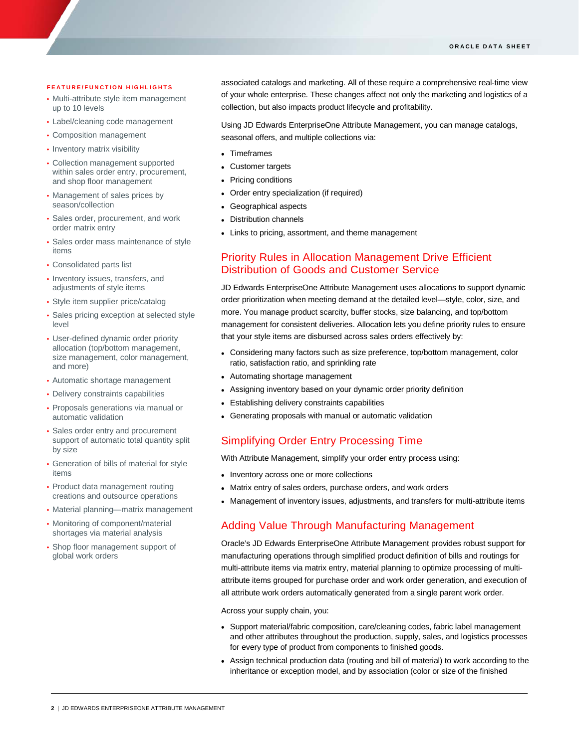#### **FEATURE/FUNCTION HIGHLIGHTS**

- Multi-attribute style item management up to 10 levels
- Label/cleaning code management
- Composition management

ī

- Inventory matrix visibility
- Collection management supported within sales order entry, procurement, and shop floor management
- Management of sales prices by season/collection
- Sales order, procurement, and work order matrix entry
- Sales order mass maintenance of style items
- Consolidated parts list
- Inventory issues, transfers, and adjustments of style items
- Style item supplier price/catalog
- Sales pricing exception at selected style level
- User-defined dynamic order priority allocation (top/bottom management, size management, color management, and more)
- Automatic shortage management
- Delivery constraints capabilities
- Proposals generations via manual or automatic validation
- Sales order entry and procurement support of automatic total quantity split by size
- Generation of bills of material for style items
- Product data management routing creations and outsource operations
- Material planning—matrix management
- Monitoring of component/material shortages via material analysis
- Shop floor management support of global work orders

associated catalogs and marketing. All of these require a comprehensive real-time view of your whole enterprise. These changes affect not only the marketing and logistics of a collection, but also impacts product lifecycle and profitability.

Using JD Edwards EnterpriseOne Attribute Management, you can manage catalogs, seasonal offers, and multiple collections via:

- Timeframes
- Customer targets
- Pricing conditions
- Order entry specialization (if required)
- Geographical aspects
- Distribution channels
- Links to pricing, assortment, and theme management

### Priority Rules in Allocation Management Drive Efficient Distribution of Goods and Customer Service

JD Edwards EnterpriseOne Attribute Management uses allocations to support dynamic order prioritization when meeting demand at the detailed level—style, color, size, and more. You manage product scarcity, buffer stocks, size balancing, and top/bottom management for consistent deliveries. Allocation lets you define priority rules to ensure that your style items are disbursed across sales orders effectively by:

- Considering many factors such as size preference, top/bottom management, color ratio, satisfaction ratio, and sprinkling rate
- Automating shortage management
- Assigning inventory based on your dynamic order priority definition
- Establishing delivery constraints capabilities
- Generating proposals with manual or automatic validation

# Simplifying Order Entry Processing Time

With Attribute Management, simplify your order entry process using:

- Inventory across one or more collections
- Matrix entry of sales orders, purchase orders, and work orders
- Management of inventory issues, adjustments, and transfers for multi-attribute items

# Adding Value Through Manufacturing Management

Oracle's JD Edwards EnterpriseOne Attribute Management provides robust support for manufacturing operations through simplified product definition of bills and routings for multi-attribute items via matrix entry, material planning to optimize processing of multiattribute items grouped for purchase order and work order generation, and execution of all attribute work orders automatically generated from a single parent work order.

Across your supply chain, you:

- Support material/fabric composition, care/cleaning codes, fabric label management and other attributes throughout the production, supply, sales, and logistics processes for every type of product from components to finished goods.
- Assign technical production data (routing and bill of material) to work according to the inheritance or exception model, and by association (color or size of the finished